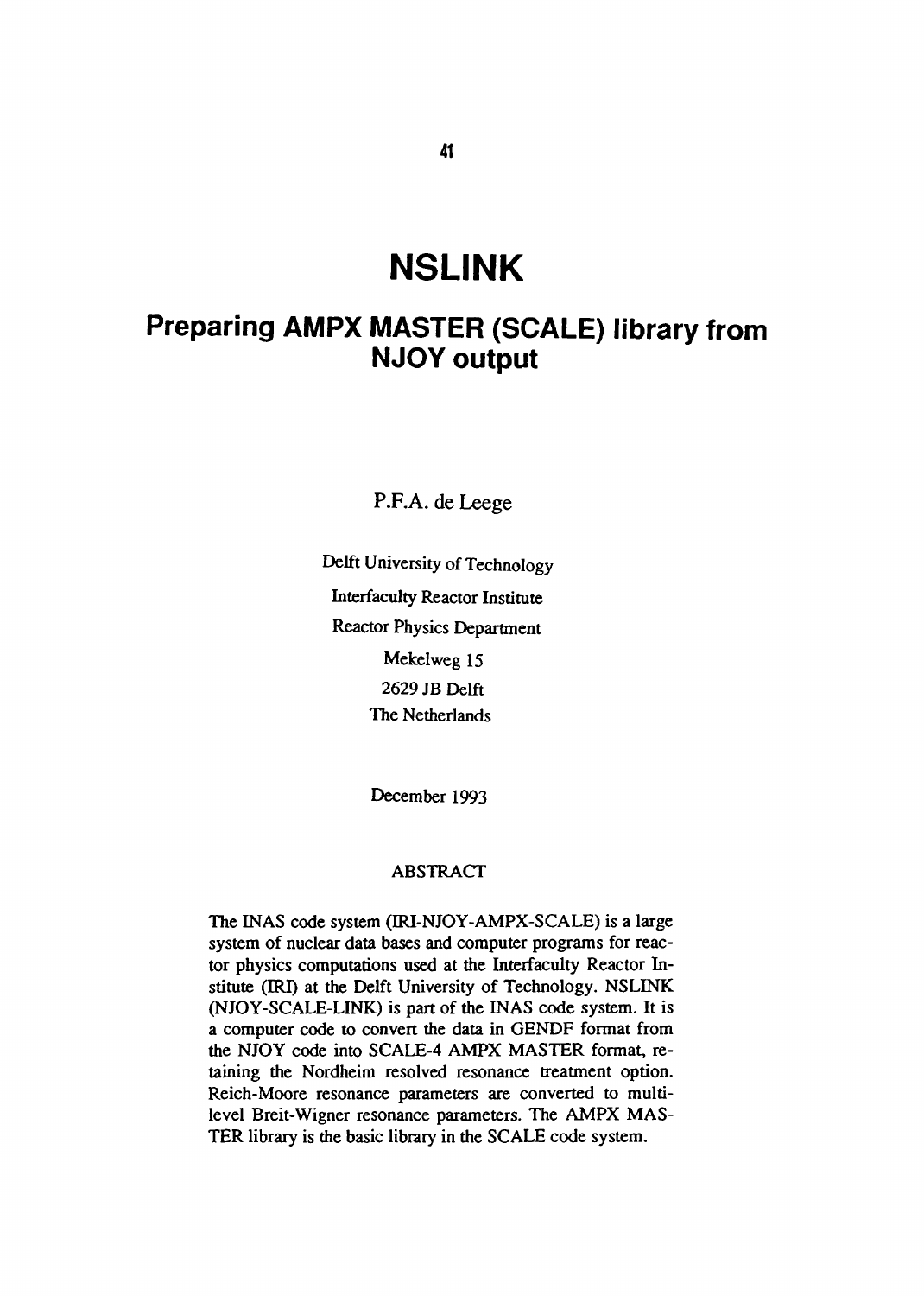# **NSLINK**

## **Preparing AMPX MASTER (SCALE) library from NJOY output**

P.F.A. de Leege

Delft University of Technology Interfaculty Reactor Institute Reactor Physics Department Mekelweg 15 2629 JB Delft The Netherlands

December 1993

#### ABSTRACT

The INAS code system (IRI-NJOY-AMPX-SCALE) is a large system of nuclear data bases and computer programs for reactor physics computations used at the Interfaculty Reactor Institute (IRI) at the Delft University of Technology. NSLINK (NJOY-SCALE-LINK) is part of the INAS code system. It is a computer code to convert the data in GENDF format from the NJOY code into SCALE-4 AMPX MASTER format, retaining the Nordheim resolved resonance treatment option. Reich-Moore resonance parameters are converted to multilevel Breit-Wigner resonance parameters. The AMPX MAS-TER library is the basic library in the SCALE code system.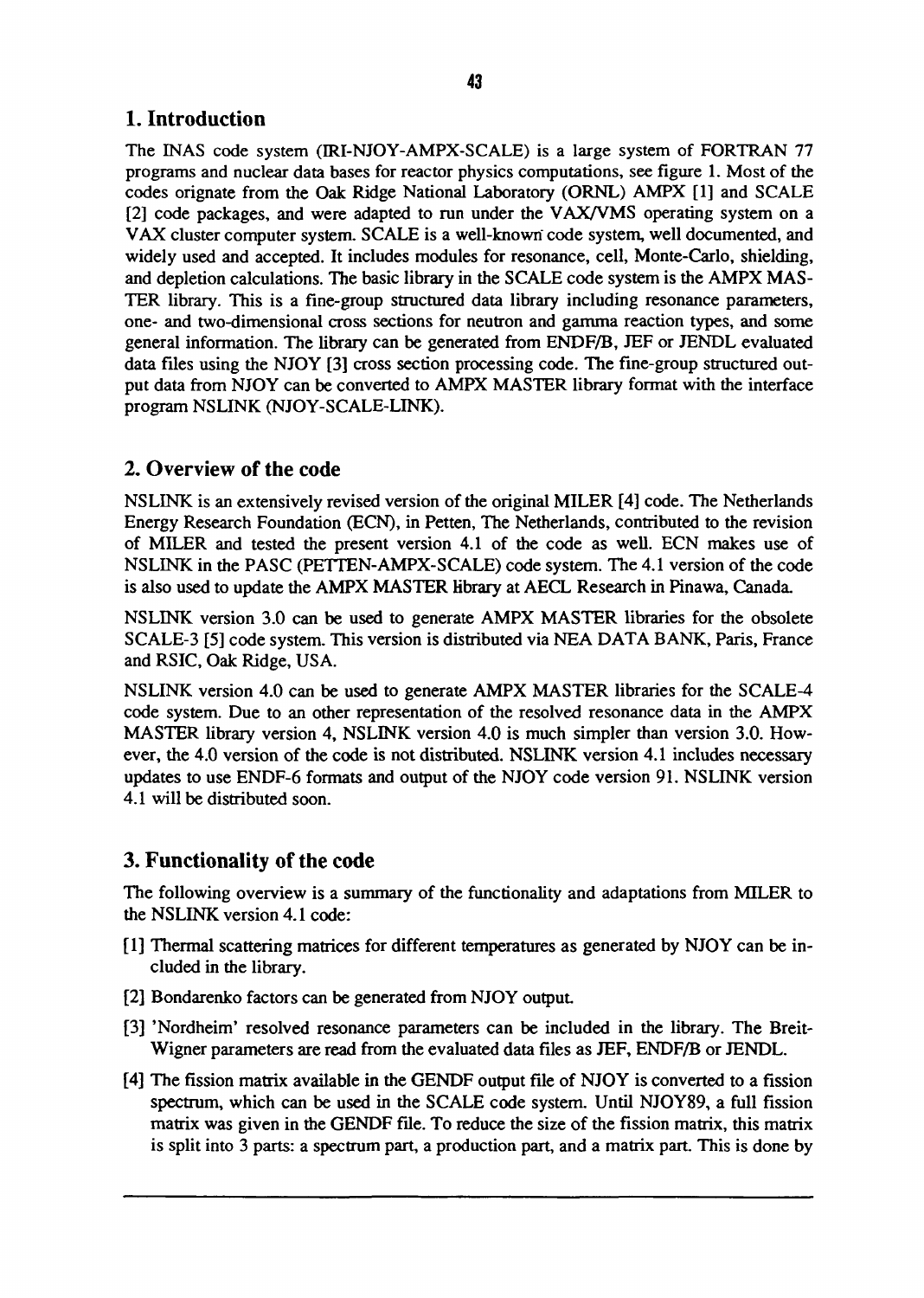#### 43

### 1. Introduction

The INAS code system (IRI-NJOY-AMPX-SCALE) is a large system of FORTRAN 77 programs and nuclear data bases for reactor physics computations, see figure 1. Most of the codes orignate from the Oak Ridge National Laboratory (ORNL) AMPX [1] and SCALE [2] code packages, and were adapted to run under the VAX/VMS operating system on a VAX cluster computer system. SCALE is a well-known code system, well documented, and widely used and accepted. It includes modules for resonance, cell, Monte-Carlo, shielding, and depletion calculations. The basic library in the SCALE code system is the AMPX MAS-TER library. This is a fine-group structured data library including resonance parameters, one- and two-dimensional cross sections for neutron and gamma reaction types, and some general information. The library can be generated from ENDF/B, JEF or JENDL evaluated data files using the NJOY [3] cross section processing code. The fine-group structured output data from NJOY can be converted to AMPX MASTER library format with the interface program NSLINK (NJOY-SCALE-LINK).

#### 2. Overview of the code

NSLINK is an extensively revised version of the original MILER [4] code. The Netherlands Energy Research Foundation (ECN), in Petten, The Netherlands, contributed to the revision of MILER and tested the present version 4.1 of the code as well. ECN makes use of NSLINK in the PASC (PETTEN-AMPX-SCALE) code system. The 4.1 version of the code is also used to update the AMPX MASTER library at AECL Research in Pinawa, Canada.

NSLINK version 3.0 can be used to generate AMPX MASTER libraries for the obsolete SCALE-3 [5] code system. This version is distributed via NEA DATA BANK, Paris, France and RSIC, Oak Ridge, USA.

NSLINK version 4.0 can be used to generate AMPX MASTER libraries for the SCALE-4 code system. Due to an other representation of the resolved resonance data in the AMPX MASTER library version 4, NSLINK version 4.0 is much simpler than version 3.0. However, the 4.0 version of the code is not distributed. NSLINK version 4.1 includes necessary updates to use ENDF-6 formats and output of the NJOY code version 91. NSLINK version 4.1 will be distributed soon.

### 3. Functionality of the code

The following overview is a summary of the functionality and adaptations from MILER to the NSLINK version 4.1 code:

- [1] Thermal scattering matrices for different temperatures as generated by NJOY can be included in the library.
- [2] Bondarenko factors can be generated from NJOY output
- [3] 'Nordheim' resolved resonance parameters can be included in the library. The Breit-Wigner parameters are read from the evaluated data files as JEF, ENDF/B or JENDL.
- [4] The fission matrix available in the GENDF output file of NJOY is converted to a fission spectrum, which can be used in the SCALE code system. Until NJOY89, a full fission matrix was given in the GENDF file. To reduce the size of the fission matrix, this matrix is split into 3 parts: a spectrum part, a production part, and a matrix part. This is done by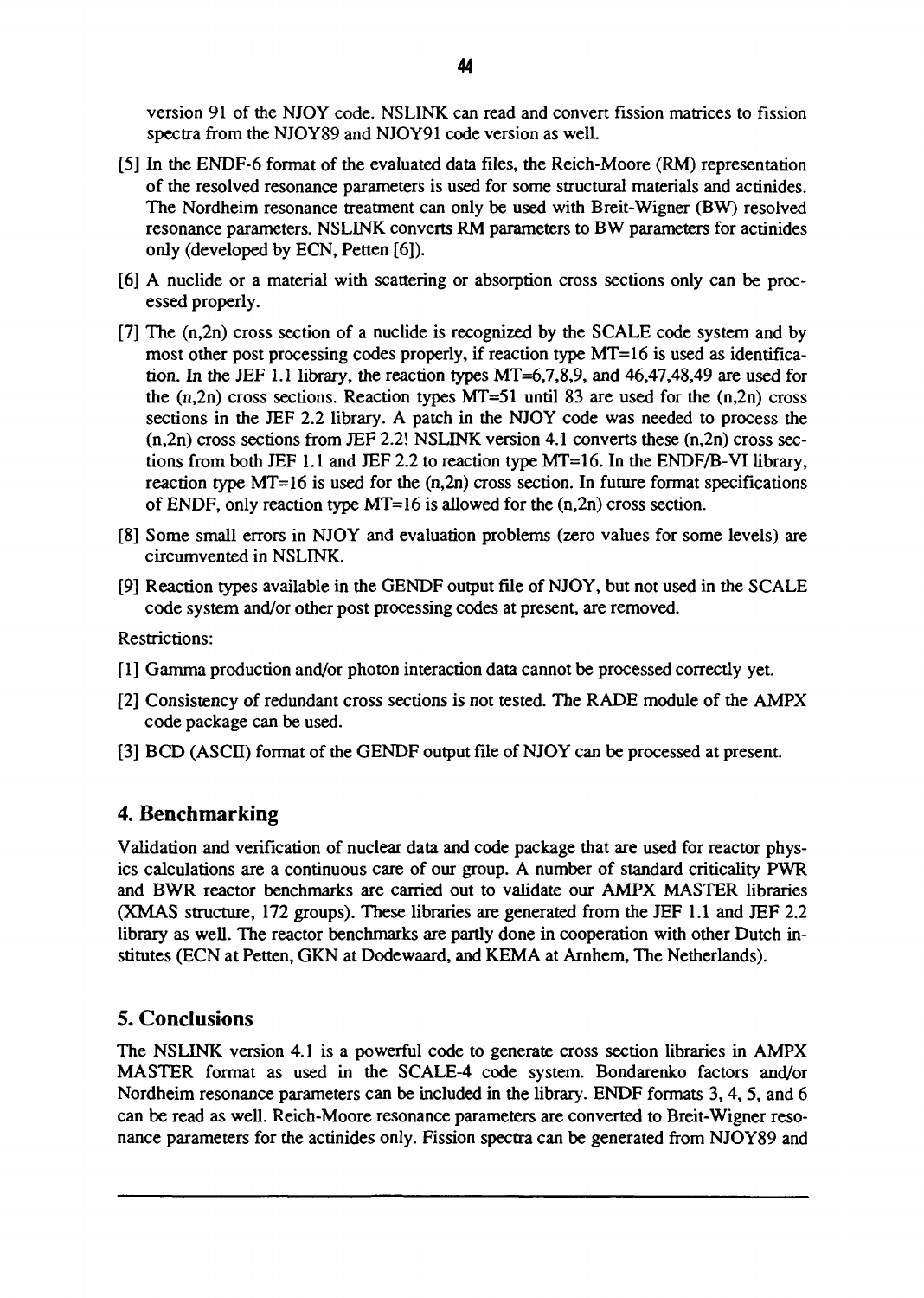version 91 of the NJOY code. NSLINK can read and convert fission matrices to fission spectra from the NJOY89 and NJOY91 code version as well.

- [5] In the ENDF-6 format of the evaluated data files, the Reich-Moore (RM) representation of the resolved resonance parameters is used for some structural materials and actinides. The Nordheim resonance treatment can only be used with Breit-Wigner (BW) resolved resonance parameters. NSLINK converts RM parameters to BW parameters for actinides only (developed by ECN, Petten [6]).
- [6] A nuclide or a material with scattering or absorption cross sections only can be processed properly.
- [7] The (n,2n) cross section of a nuclide is recognized by the SCALE code system and by most other post processing codes properly, if reaction type MT=16 is used as identification. In the JEF 1.1 library, the reaction types MT=6,7,8,9, and 46,47,48,49 are used for the  $(n,2n)$  cross sections. Reaction types MT=51 until 83 are used for the  $(n,2n)$  cross sections in the JEF 2.2 library. A patch in the NJOY code was needed to process the (n,2n) cross sections from JEF 2.2! NSLINK version 4.1 converts these (n,2n) cross sections from both JEF 1.1 and JEF 2.2 to reaction type MT=16. In the ENDF/B-VI library, reaction type  $MT=16$  is used for the  $(n,2n)$  cross section. In future format specifications of ENDF, only reaction type  $MT=16$  is allowed for the  $(n,2n)$  cross section.
- [8] Some small errors in NJOY and evaluation problems (zero values for some levels) are circumvented in NSLINK.
- [9] Reaction types available in the GENDF output file of NJOY, but not used in the SCALE code system and/or other post processing codes at present, are removed.

Restrictions:

- [1] Gamma production and/or photon interaction data cannot be processed correctly yet.
- [2] Consistency of redundant cross sections is not tested. The RADE module of the AMPX code package can be used.
- [3] BCD (ASCII) format of the GENDF output file of NJOY can be processed at present.

#### **4. Benchmarking**

Validation and verification of nuclear data and code package that are used for reactor physics calculations are a continuous care of our group. A number of standard criticality PWR and BWR reactor benchmarks are carried out to validate our AMPX MASTER libraries (XMAS structure, 172 groups). These libraries are generated from the JEF 1.1 and JEF 2.2 library as well. The reactor benchmarks are partly done in cooperation with other Dutch institutes (ECN at Petten, GKN at Dodewaard, and KEMA at Arnhem, The Netherlands).

#### **5. Conclusions**

The NSLINK version 4.1 is a powerful code to generate cross section libraries in AMPX MASTER format as used in the SCALE-4 code system. Bondarenko factors and/or Nordheim resonance parameters can be included in the library. ENDF formats 3,4,5, and 6 can be read as well. Reich-Moore resonance parameters are converted to Breit-Wigner resonance parameters for the actinides only. Fission spectra can be generated from NJOY89 and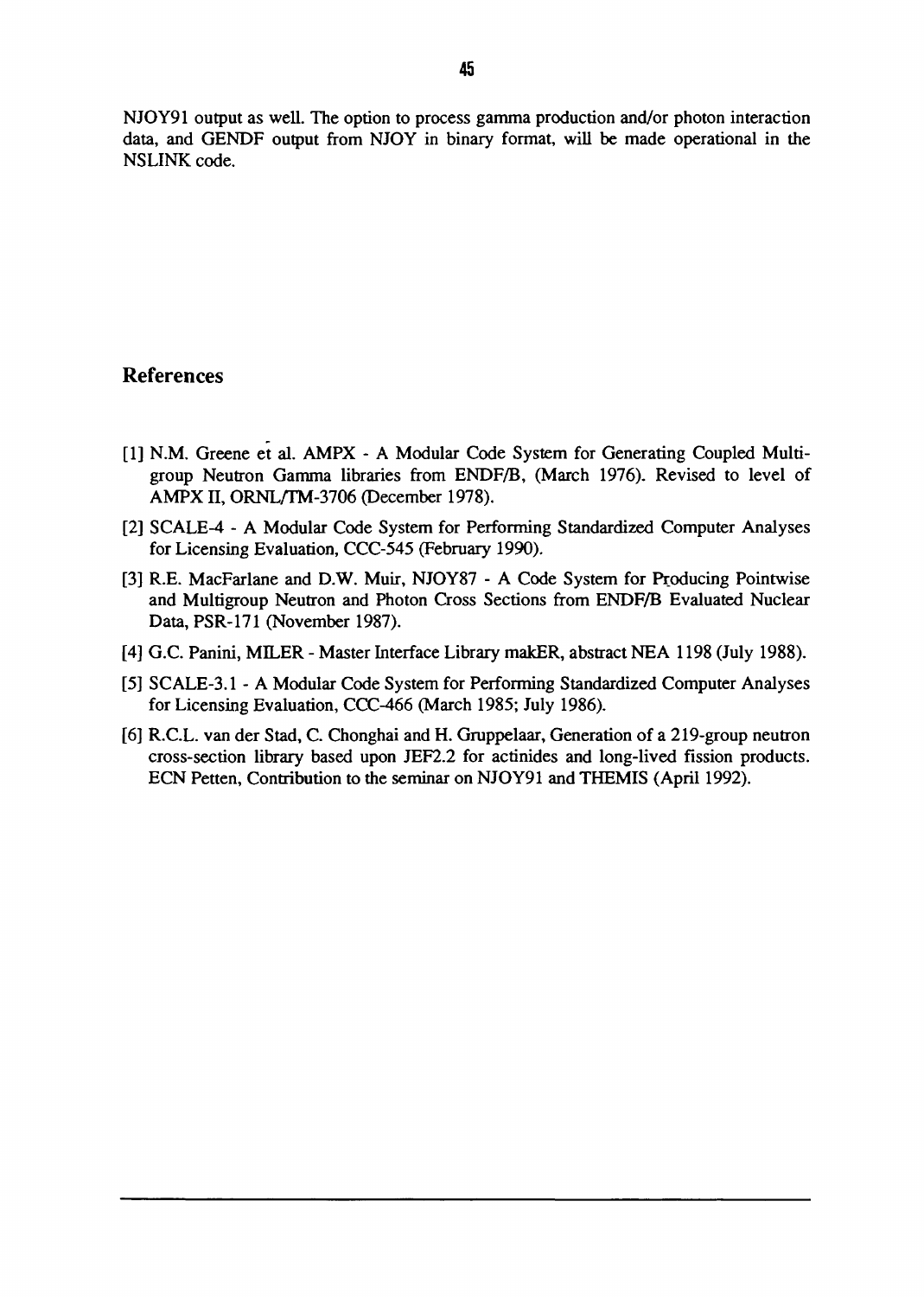NJOY91 output as well. The option to process gamma production and/or photon interaction data, and GENDF output from NJOY in binary format, will be made operational in the NSLINK code.

#### References

- [1] N.M. Greene et al. AMPX A Modular Code System for Generating Coupled Multigroup Neutron Gamma libraries from ENDF/B, (March 1976). Revised to level of AMPX II, ORNL/TM-3706 (December 1978).
- [2] SCALE-4 A Modular Code System for Performing Standardized Computer Analyses for Licensing Evaluation, CCC-545 (February 1990).
- [3] R.E. MacFarlane and D.W. Muir, NJOY87 A Code System for Producing Pointwise and Multigroup Neutron and Photon Cross Sections from ENDF/B Evaluated Nuclear Data, PSR-171 (November 1987).
- [4] G.C. Panini, MILER Master Interface Library makER, abstract NEA 1198 (July 1988).
- [5] SCALE-3.1 A Modular Code System for Performing Standardized Computer Analyses for Licensing Evaluation, CCC-466 (March 1985; July 1986).
- [6] R.C.L. van der Stad, C. Chonghai and H. Gruppelaar, Generation of a 219-group neutron cross-section library based upon JEF2.2 for actinides and long-lived fission products. ECN Petten, Contribution to the seminar on NJOY91 and THEMIS (April 1992).